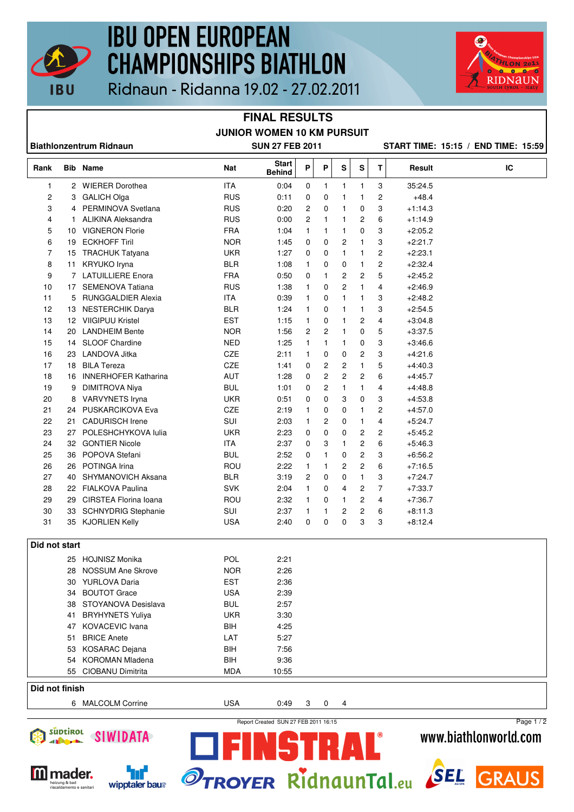

# **IBU OPEN EUROPEAN CHAMPIONSHIPS BIATHLON**



|  |  | Ridnaun - Ridanna 19.02 - 27.02.2011 |
|--|--|--------------------------------------|
|--|--|--------------------------------------|

#### **FINAL RESULTS JUNIOR WOMEN 10 KM PURSUIT**

| <b>Biathlonzentrum Ridnaun</b> |    |                             | <b>SUN 27 FEB 2011</b> |                               |                |                |                |              |                | START TIME: 15:15 / END TIME: 15:59 |    |
|--------------------------------|----|-----------------------------|------------------------|-------------------------------|----------------|----------------|----------------|--------------|----------------|-------------------------------------|----|
| Rank                           |    | <b>Bib</b> Name             | Nat                    | <b>Start</b><br><b>Behind</b> | P              | P              | S              | S            | T.             | Result                              | IC |
| 1                              |    | 2 WIERER Dorothea           | <b>ITA</b>             | 0:04                          | 0              | 1              | 1              | $\mathbf{1}$ | 3              | 35:24.5                             |    |
| 2                              |    | 3 GALICH Olga               | <b>RUS</b>             | 0:11                          | 0              | 0              | 1              | 1            | 2              | $+48.4$                             |    |
| 3                              |    | 4 PERMINOVA Svetlana        | <b>RUS</b>             | 0:20                          | 2              | $\mathbf 0$    | 1              | 0            | 3              | $+1.14.3$                           |    |
| 4                              | 1. | ALIKINA Aleksandra          | <b>RUS</b>             | 0:00                          | $\overline{c}$ | $\mathbf{1}$   | 1              | 2            | 6              | $+1.14.9$                           |    |
| 5                              | 10 | <b>VIGNERON Florie</b>      | <b>FRA</b>             | 1:04                          | $\mathbf{1}$   | 1              | 1              | 0            | 3              | $+2:05.2$                           |    |
| 6                              | 19 | <b>ECKHOFF Tiril</b>        | <b>NOR</b>             | 1:45                          | 0              | $\mathbf 0$    | 2              | 1            | 3              | $+2:21.7$                           |    |
| 7                              |    | 15 TRACHUK Tatyana          | <b>UKR</b>             | 1:27                          | 0              | 0              | 1              | 1            | 2              | $+2:23.1$                           |    |
| 8                              | 11 | KRYUKO Iryna                | <b>BLR</b>             | 1:08                          | 1              | 0              | 0              | 1            | 2              | $+2:32.4$                           |    |
| 9                              |    | 7 LATUILLIERE Enora         | <b>FRA</b>             | 0:50                          | 0              | $\mathbf{1}$   | 2              | 2            | 5              | $+2:45.2$                           |    |
| 10                             |    | 17 SEMENOVA Tatiana         | <b>RUS</b>             | 1:38                          | 1              | 0              | $\overline{c}$ | 1            | 4              | $+2:46.9$                           |    |
| 11                             | 5  | <b>RUNGGALDIER Alexia</b>   | <b>ITA</b>             | 0:39                          | 1              | 0              | 1              | 1            | 3              | $+2:48.2$                           |    |
| 12                             |    | 13 NESTERCHIK Darya         | <b>BLR</b>             | 1:24                          | 1              | 0              | 1              | 1            | 3              | $+2.54.5$                           |    |
| 13                             |    | 12 VIIGIPUU Kristel         | <b>EST</b>             | 1:15                          | 1              | $\mathbf 0$    | 1              | 2            | $\overline{4}$ | $+3.04.8$                           |    |
| 14                             | 20 | <b>LANDHEIM Bente</b>       | <b>NOR</b>             | 1:56                          | 2              | 2              | 1              | 0            | 5              | $+3:37.5$                           |    |
| 15                             |    | 14 SLOOF Chardine           | <b>NED</b>             | 1.25                          | 1              | $\mathbf{1}$   | 1              | 0            | 3              | $+3.46.6$                           |    |
| 16                             |    | 23 LANDOVA Jitka            | CZE                    | 2:11                          | $\mathbf{1}$   | 0              | 0              | 2            | 3              | $+4.21.6$                           |    |
| 17                             |    | 18 BILA Tereza              | CZE                    | 1:41                          | 0              | $\overline{c}$ | 2              | 1            | 5              | $+4.40.3$                           |    |
| 18                             | 16 | <b>INNERHOFER Katharina</b> | <b>AUT</b>             | 1:28                          | 0              | $\overline{c}$ | $\overline{2}$ | 2            | 6              | $+4:45.7$                           |    |
| 19                             | 9  | <b>DIMITROVA Niya</b>       | <b>BUL</b>             | 1:01                          | 0              | $\overline{c}$ | 1              | $\mathbf{1}$ | 4              | $+4.48.8$                           |    |
| 20                             |    | 8 VARVYNETS Iryna           | <b>UKR</b>             | 0:51                          | 0              | $\mathbf 0$    | 3              | 0            | 3              | $+4:53.8$                           |    |
| 21                             | 24 | PUSKARCIKOVA Eva            | CZE                    | 2:19                          | 1              | $\mathbf 0$    | 0              | 1            | $\overline{c}$ | $+4.57.0$                           |    |
| 22                             | 21 | <b>CADURISCH Irene</b>      | SUI                    | 2:03                          | 1              | 2              | 0              | 1            | 4              | $+5:24.7$                           |    |
| 23                             |    | 27 POLESHCHYKOVA lulia      | <b>UKR</b>             | 2:23                          | 0              | 0              | 0              | 2            | 2              | $+5.45.2$                           |    |
| 24                             | 32 | <b>GONTIER Nicole</b>       | <b>ITA</b>             | 2:37                          | 0              | 3              | 1              | 2            | 6              | $+5:46.3$                           |    |
| 25                             | 36 | POPOVA Stefani              | <b>BUL</b>             | 2:52                          | 0              | 1              | 0              | 2            | 3              | $+6.56.2$                           |    |
| 26                             | 26 | POTINGA Irina               | ROU                    | 2:22                          | 1              | 1              | 2              | 2            | 6              | $+7:16.5$                           |    |
| 27                             | 40 | SHYMANOVICH Aksana          | <b>BLR</b>             | 3:19                          | 2              | 0              | 0              | 1            | 3              | $+7:24.7$                           |    |
| 28                             |    | 22 FIALKOVA Paulina         | <b>SVK</b>             | 2:04                          | 1              | 0              | 4              | 2            | 7              | $+7:33.7$                           |    |
| 29                             | 29 | CIRSTEA Florina Ioana       | ROU                    | 2:32                          | 1              | 0              | 1              | 2            | $\overline{4}$ | $+7.36.7$                           |    |
| 30                             | 33 | <b>SCHNYDRIG Stephanie</b>  | SUI                    | 2:37                          | 1              | 1              | 2              | 2            | 6              | $+8:11.3$                           |    |
| 31                             |    | 35 KJORLIEN Kelly           | <b>USA</b>             | 2:40                          | 0              | 0              | 0              | 3            | 3              | $+8.12.4$                           |    |
| Did not start                  |    |                             |                        |                               |                |                |                |              |                |                                     |    |
|                                |    | 25 HOJNISZ Monika           | POL                    | 2:21                          |                |                |                |              |                |                                     |    |
|                                |    | 28 NOSSUM Ane Skrove        | <b>NOR</b>             | 2:26                          |                |                |                |              |                |                                     |    |
|                                |    | 30 YURLOVA Daria            | <b>EST</b>             | 2:36                          |                |                |                |              |                |                                     |    |
|                                | 34 | <b>BOUTOT Grace</b>         | <b>USA</b>             | 2:39                          |                |                |                |              |                |                                     |    |
|                                | 38 | STOYANOVA Desislava         | <b>BUL</b>             | 2:57                          |                |                |                |              |                |                                     |    |
|                                | 41 | <b>BRYHYNETS Yuliya</b>     | <b>UKR</b>             | 3:30                          |                |                |                |              |                |                                     |    |
|                                |    | 47 KOVACEVIC Ivana          | BIH                    | 4:25                          |                |                |                |              |                |                                     |    |
|                                | 51 | <b>BRICE Anete</b>          | LAT                    | 5:27                          |                |                |                |              |                |                                     |    |
|                                | 53 | KOSARAC Dejana              | BIH                    | 7:56                          |                |                |                |              |                |                                     |    |
|                                | 54 | <b>KOROMAN Mladena</b>      | <b>BIH</b>             | 9:36                          |                |                |                |              |                |                                     |    |
|                                |    | 55 CIOBANU Dimitrita        | <b>MDA</b>             | 10:55                         |                |                |                |              |                |                                     |    |
| Did not finish                 |    |                             |                        |                               |                |                |                |              |                |                                     |    |
|                                |    | 6 MALCOLM Corrine           | <b>USA</b>             | 0:49                          | 3              | 0              | 4              |              |                |                                     |    |
|                                |    |                             |                        |                               |                |                |                |              |                |                                     |    |





Ĥ

╅╻

THE R

 $\mathbf{R}$ 





Page 1 / 2